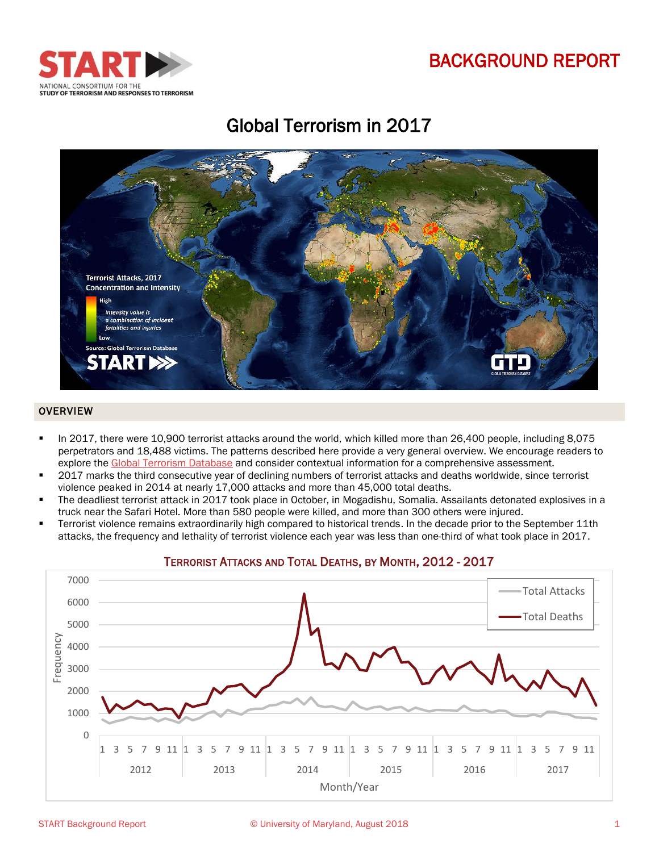# BACKGROUND REPORT



# Global Terrorism in 2017



#### OVERVIEW

- In 2017, there were 10,900 terrorist attacks around the world, which killed more than 26,400 people, including 8,075 perpetrators and 18,488 victims. The patterns described here provide a very general overview. We encourage readers to explore the [Global Terrorism Database](http://start.umd.edu/gtd/downloads/Codebook.pdf) and consider contextual information for a comprehensive assessment.
- 2017 marks the third consecutive year of declining numbers of terrorist attacks and deaths worldwide, since terrorist violence peaked in 2014 at nearly 17,000 attacks and more than 45,000 total deaths.
- The deadliest terrorist attack in 2017 took place in October, in Mogadishu, Somalia. Assailants detonated explosives in a truck near the Safari Hotel. More than 580 people were killed, and more than 300 others were injured.
- Terrorist violence remains extraordinarily high compared to historical trends. In the decade prior to the September 11th attacks, the frequency and lethality of terrorist violence each year was less than one-third of what took place in 2017.



### TERRORIST ATTACKS AND TOTAL DEATHS, BY MONTH, 2012 - 2017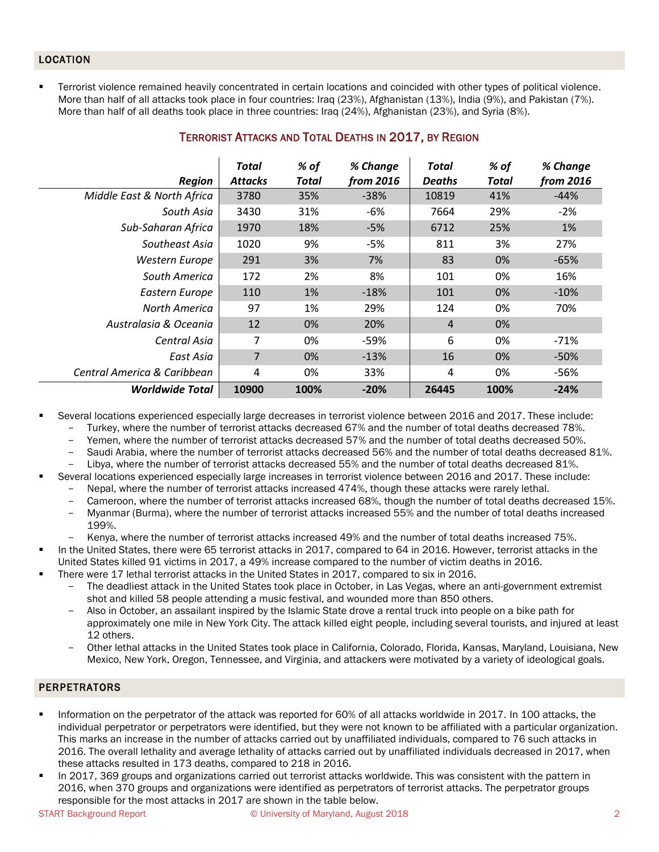### LOCATION

 Terrorist violence remained heavily concentrated in certain locations and coincided with other types of political violence. More than half of all attacks took place in four countries: Iraq (23%), Afghanistan (13%), India (9%), and Pakistan (7%). More than half of all deaths took place in three countries: Iraq (24%), Afghanistan (23%), and Syria (8%).

| <b>Region</b>               | <b>Total</b><br><b>Attacks</b> | % of<br>Total | % Change<br>from 2016 | Total<br><b>Deaths</b> | % of<br>Total | % Change<br>from 2016 |
|-----------------------------|--------------------------------|---------------|-----------------------|------------------------|---------------|-----------------------|
| Middle East & North Africa  | 3780                           | 35%           | $-38%$                | 10819                  | 41%           | $-44%$                |
| South Asia                  | 3430                           | 31%           | -6%                   | 7664                   | 29%           | $-2%$                 |
| Sub-Saharan Africa          | 1970                           | 18%           | $-5%$                 | 6712                   | 25%           | 1%                    |
| Southeast Asia              | 1020                           | 9%            | -5%                   | 811                    | 3%            | 27%                   |
| Western Europe              | 291                            | 3%            | 7%                    | 83                     | 0%            | $-65%$                |
| South America               | 172                            | 2%            | 8%                    | 101                    | 0%            | 16%                   |
| Eastern Europe              | 110                            | 1%            | $-18%$                | 101                    | 0%            | $-10%$                |
| <b>North America</b>        | 97                             | 1%            | 29%                   | 124                    | 0%            | 70%                   |
| Australasia & Oceania       | 12                             | 0%            | 20%                   | $\overline{4}$         | 0%            |                       |
| Central Asia                | 7                              | 0%            | -59%                  | 6                      | 0%            | -71%                  |
| East Asia                   | 7                              | 0%            | $-13%$                | 16                     | 0%            | $-50%$                |
| Central America & Caribbean | 4                              | 0%            | 33%                   | 4                      | 0%            | $-56%$                |
| <b>Worldwide Total</b>      | 10900                          | 100%          | $-20%$                | 26445                  | 100%          | $-24%$                |

## TERRORIST ATTACKS AND TOTAL DEATHS IN 2017, BY REGION

- Several locations experienced especially large decreases in terrorist violence between 2016 and 2017. These include:
	- Turkey, where the number of terrorist attacks decreased 67% and the number of total deaths decreased 78%.
	- Yemen, where the number of terrorist attacks decreased 57% and the number of total deaths decreased 50%.
	- Saudi Arabia, where the number of terrorist attacks decreased 56% and the number of total deaths decreased 81%.
- Libya, where the number of terrorist attacks decreased 55% and the number of total deaths decreased 81%. Several locations experienced especially large increases in terrorist violence between 2016 and 2017. These include:
	- Nepal, where the number of terrorist attacks increased 474%, though these attacks were rarely lethal.
		- Cameroon, where the number of terrorist attacks increased 68%, though the number of total deaths decreased 15%.
	- Myanmar (Burma), where the number of terrorist attacks increased 55% and the number of total deaths increased 199%.
	- Kenya, where the number of terrorist attacks increased 49% and the number of total deaths increased 75%.
- In the United States, there were 65 terrorist attacks in 2017, compared to 64 in 2016. However, terrorist attacks in the United States killed 91 victims in 2017, a 49% increase compared to the number of victim deaths in 2016.
- There were 17 lethal terrorist attacks in the United States in 2017, compared to six in 2016.
	- The deadliest attack in the United States took place in October, in Las Vegas, where an anti-government extremist shot and killed 58 people attending a music festival, and wounded more than 850 others.
	- Also in October, an assailant inspired by the Islamic State drove a rental truck into people on a bike path for approximately one mile in New York City. The attack killed eight people, including several tourists, and injured at least 12 others.
	- Other lethal attacks in the United States took place in California, Colorado, Florida, Kansas, Maryland, Louisiana, New Mexico, New York, Oregon, Tennessee, and Virginia, and attackers were motivated by a variety of ideological goals.

#### PERPETRATORS

- Information on the perpetrator of the attack was reported for 60% of all attacks worldwide in 2017. In 100 attacks, the individual perpetrator or perpetrators were identified, but they were not known to be affiliated with a particular organization. This marks an increase in the number of attacks carried out by unaffiliated individuals, compared to 76 such attacks in 2016. The overall lethality and average lethality of attacks carried out by unaffiliated individuals decreased in 2017, when these attacks resulted in 173 deaths, compared to 218 in 2016.
- In 2017, 369 groups and organizations carried out terrorist attacks worldwide. This was consistent with the pattern in 2016, when 370 groups and organizations were identified as perpetrators of terrorist attacks. The perpetrator groups responsible for the most attacks in 2017 are shown in the table below.